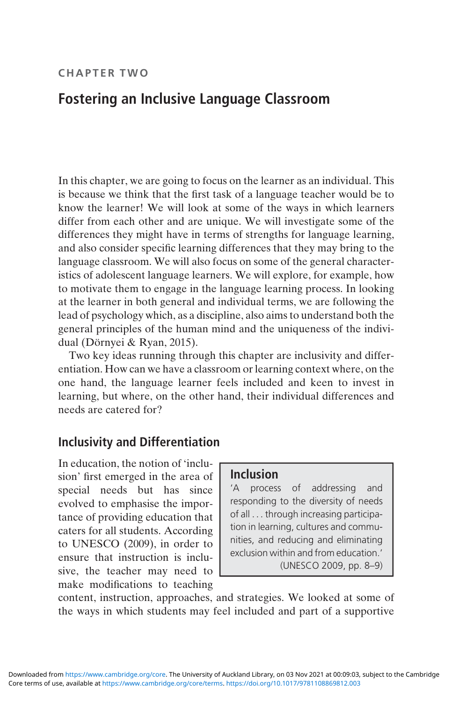#### CHAPTER TWO

# Fostering an Inclusive Language Classroom

In this chapter, we are going to focus on the learner as an individual. This is because we think that the first task of a language teacher would be to know the learner! We will look at some of the ways in which learners differ from each other and are unique. We will investigate some of the differences they might have in terms of strengths for language learning, and also consider specific learning differences that they may bring to the language classroom. We will also focus on some of the general characteristics of adolescent language learners. We will explore, for example, how to motivate them to engage in the language learning process. In looking at the learner in both general and individual terms, we are following the lead of psychology which, as a discipline, also aims to understand both the general principles of the human mind and the uniqueness of the individual (Dörnyei & Ryan, 2015).

Two key ideas running through this chapter are inclusivity and differentiation. How can we have a classroom or learning context where, on the one hand, the language learner feels included and keen to invest in learning, but where, on the other hand, their individual differences and needs are catered for?

### Inclusivity and Differentiation

In education, the notion of 'inclusion' first emerged in the area of special needs but has since evolved to emphasise the importance of providing education that caters for all students. According to UNESCO (2009), in order to ensure that instruction is inclusive, the teacher may need to make modifications to teaching

### Inclusion

'A process of addressing and responding to the diversity of needs of all ... through increasing participation in learning, cultures and communities, and reducing and eliminating exclusion within and from education.' (UNESCO 2009, pp. 8–9)

content, instruction, approaches, and strategies. We looked at some of the ways in which students may feel included and part of a supportive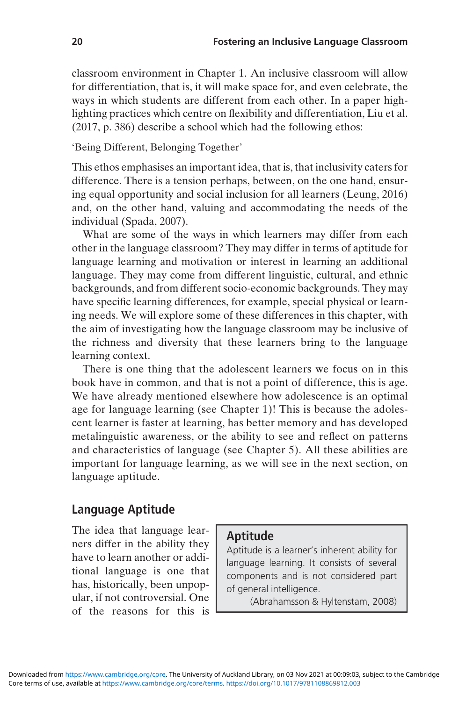classroom environment in Chapter 1. An inclusive classroom will allow for differentiation, that is, it will make space for, and even celebrate, the ways in which students are different from each other. In a paper highlighting practices which centre on flexibility and differentiation, Liu et al. (2017, p. 386) describe a school which had the following ethos:

#### 'Being Different, Belonging Together'

This ethos emphasises an important idea, that is, that inclusivity caters for difference. There is a tension perhaps, between, on the one hand, ensuring equal opportunity and social inclusion for all learners (Leung, 2016) and, on the other hand, valuing and accommodating the needs of the individual (Spada, 2007).

What are some of the ways in which learners may differ from each other in the language classroom? They may differ in terms of aptitude for language learning and motivation or interest in learning an additional language. They may come from different linguistic, cultural, and ethnic backgrounds, and from different socio-economic backgrounds. They may have specific learning differences, for example, special physical or learning needs. We will explore some of these differences in this chapter, with the aim of investigating how the language classroom may be inclusive of the richness and diversity that these learners bring to the language learning context.

There is one thing that the adolescent learners we focus on in this book have in common, and that is not a point of difference, this is age. We have already mentioned elsewhere how adolescence is an optimal age for language learning (see Chapter 1)! This is because the adolescent learner is faster at learning, has better memory and has developed metalinguistic awareness, or the ability to see and reflect on patterns and characteristics of language (see Chapter 5). All these abilities are important for language learning, as we will see in the next section, on language aptitude.

### Language Aptitude

The idea that language learners differ in the ability they have to learn another or additional language is one that has, historically, been unpopular, if not controversial. One of the reasons for this is

#### Aptitude

Aptitude is a learner's inherent ability for language learning. It consists of several components and is not considered part of general intelligence.

(Abrahamsson & Hyltenstam, 2008)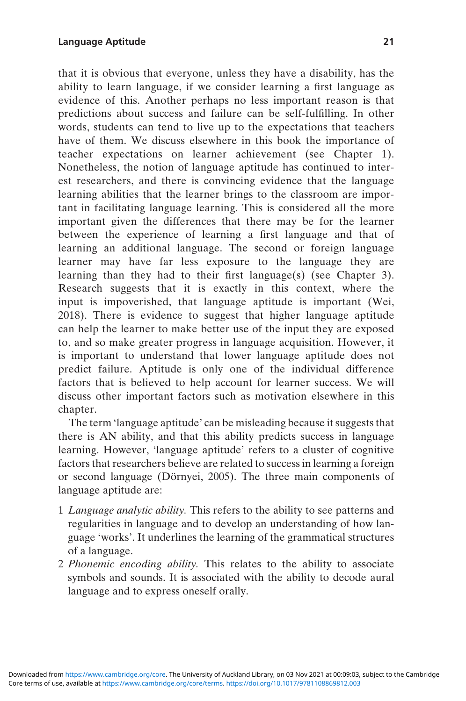that it is obvious that everyone, unless they have a disability, has the ability to learn language, if we consider learning a first language as evidence of this. Another perhaps no less important reason is that predictions about success and failure can be self-fulfilling. In other words, students can tend to live up to the expectations that teachers have of them. We discuss elsewhere in this book the importance of teacher expectations on learner achievement (see Chapter 1). Nonetheless, the notion of language aptitude has continued to interest researchers, and there is convincing evidence that the language

learning abilities that the learner brings to the classroom are important in facilitating language learning. This is considered all the more important given the differences that there may be for the learner between the experience of learning a first language and that of learning an additional language. The second or foreign language learner may have far less exposure to the language they are learning than they had to their first language(s) (see Chapter 3). Research suggests that it is exactly in this context, where the input is impoverished, that language aptitude is important (Wei, 2018). There is evidence to suggest that higher language aptitude can help the learner to make better use of the input they are exposed to, and so make greater progress in language acquisition. However, it is important to understand that lower language aptitude does not predict failure. Aptitude is only one of the individual difference factors that is believed to help account for learner success. We will discuss other important factors such as motivation elsewhere in this chapter.

The term 'language aptitude' can be misleading because it suggests that there is AN ability, and that this ability predicts success in language learning. However, 'language aptitude' refers to a cluster of cognitive factors that researchers believe are related to success in learning a foreign or second language (Dörnyei, 2005). The three main components of language aptitude are:

- 1 Language analytic ability. This refers to the ability to see patterns and regularities in language and to develop an understanding of how language 'works'. It underlines the learning of the grammatical structures of a language.
- 2 Phonemic encoding ability. This relates to the ability to associate symbols and sounds. It is associated with the ability to decode aural language and to express oneself orally.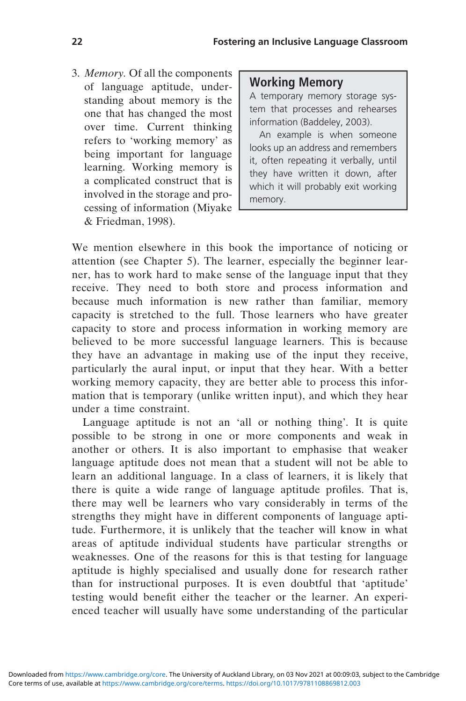3. Memory. Of all the components of language aptitude, understanding about memory is the one that has changed the most over time. Current thinking refers to 'working memory' as being important for language learning. Working memory is a complicated construct that is involved in the storage and processing of information (Miyake & Friedman, 1998).

#### Working Memory

A temporary memory storage system that processes and rehearses information (Baddeley, 2003).

An example is when someone looks up an address and remembers it, often repeating it verbally, until they have written it down, after which it will probably exit working memory.

We mention elsewhere in this book the importance of noticing or attention (see Chapter 5). The learner, especially the beginner learner, has to work hard to make sense of the language input that they receive. They need to both store and process information and because much information is new rather than familiar, memory capacity is stretched to the full. Those learners who have greater capacity to store and process information in working memory are believed to be more successful language learners. This is because they have an advantage in making use of the input they receive, particularly the aural input, or input that they hear. With a better working memory capacity, they are better able to process this information that is temporary (unlike written input), and which they hear under a time constraint.

Language aptitude is not an 'all or nothing thing'. It is quite possible to be strong in one or more components and weak in another or others. It is also important to emphasise that weaker language aptitude does not mean that a student will not be able to learn an additional language. In a class of learners, it is likely that there is quite a wide range of language aptitude profiles. That is, there may well be learners who vary considerably in terms of the strengths they might have in different components of language aptitude. Furthermore, it is unlikely that the teacher will know in what areas of aptitude individual students have particular strengths or weaknesses. One of the reasons for this is that testing for language aptitude is highly specialised and usually done for research rather than for instructional purposes. It is even doubtful that 'aptitude' testing would benefit either the teacher or the learner. An experienced teacher will usually have some understanding of the particular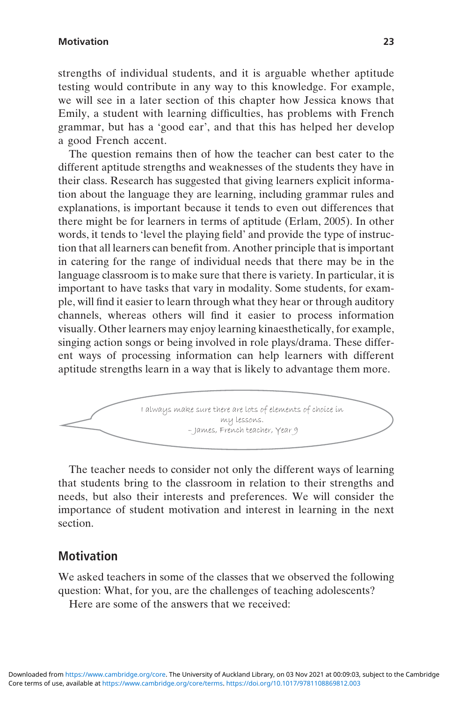#### Motivation 23

strengths of individual students, and it is arguable whether aptitude testing would contribute in any way to this knowledge. For example, we will see in a later section of this chapter how Jessica knows that Emily, a student with learning difficulties, has problems with French grammar, but has a 'good ear', and that this has helped her develop a good French accent.

The question remains then of how the teacher can best cater to the different aptitude strengths and weaknesses of the students they have in their class. Research has suggested that giving learners explicit information about the language they are learning, including grammar rules and explanations, is important because it tends to even out differences that there might be for learners in terms of aptitude (Erlam, 2005). In other words, it tends to 'level the playing field' and provide the type of instruction that all learners can benefit from. Another principle that is important in catering for the range of individual needs that there may be in the language classroom is to make sure that there is variety. In particular, it is important to have tasks that vary in modality. Some students, for example, will find it easier to learn through what they hear or through auditory channels, whereas others will find it easier to process information visually. Other learners may enjoy learning kinaesthetically, for example, singing action songs or being involved in role plays/drama. These different ways of processing information can help learners with different aptitude strengths learn in a way that is likely to advantage them more.



The teacher needs to consider not only the different ways of learning that students bring to the classroom in relation to their strengths and needs, but also their interests and preferences. We will consider the importance of student motivation and interest in learning in the next section.

#### **Motivation**

We asked teachers in some of the classes that we observed the following question: What, for you, are the challenges of teaching adolescents?

Here are some of the answers that we received: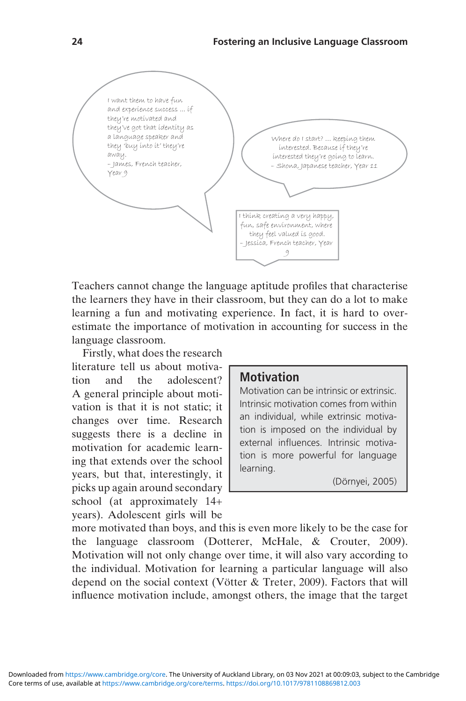

Teachers cannot change the language aptitude profiles that characterise the learners they have in their classroom, but they can do a lot to make learning a fun and motivating experience. In fact, it is hard to overestimate the importance of motivation in accounting for success in the language classroom.

Firstly, what does the research literature tell us about motivation and the adolescent? A general principle about motivation is that it is not static; it changes over time. Research suggests there is a decline in motivation for academic learning that extends over the school years, but that, interestingly, it picks up again around secondary school (at approximately 14+ years). Adolescent girls will be

#### **Motivation**

Motivation can be intrinsic or extrinsic. Intrinsic motivation comes from within an individual, while extrinsic motivation is imposed on the individual by external influences. Intrinsic motivation is more powerful for language learning.

(Dörnyei, 2005)

more motivated than boys, and this is even more likely to be the case for the language classroom (Dotterer, McHale, & Crouter, 2009). Motivation will not only change over time, it will also vary according to the individual. Motivation for learning a particular language will also depend on the social context (Vötter & Treter, 2009). Factors that will influence motivation include, amongst others, the image that the target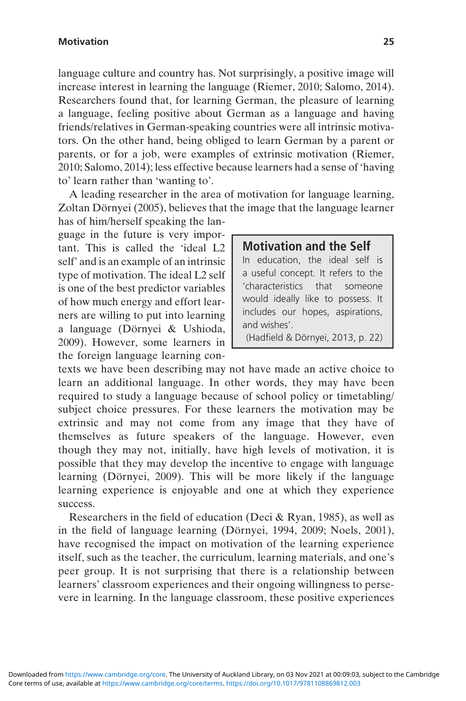language culture and country has. Not surprisingly, a positive image will increase interest in learning the language (Riemer, 2010; Salomo, 2014). Researchers found that, for learning German, the pleasure of learning a language, feeling positive about German as a language and having friends/relatives in German-speaking countries were all intrinsic motivators. On the other hand, being obliged to learn German by a parent or parents, or for a job, were examples of extrinsic motivation (Riemer, 2010; Salomo, 2014); less effective because learners had a sense of 'having to' learn rather than 'wanting to'.

A leading researcher in the area of motivation for language learning, Zoltan Dörnyei (2005), believes that the image that the language learner

has of him/herself speaking the language in the future is very important. This is called the 'ideal L2 self' and is an example of an intrinsic type of motivation. The ideal L2 self is one of the best predictor variables of how much energy and effort learners are willing to put into learning a language (Dörnyei & Ushioda, 2009). However, some learners in the foreign language learning con-

#### Motivation and the Self

In education, the ideal self is a useful concept. It refers to the 'characteristics that someone would ideally like to possess. It includes our hopes, aspirations, and wishes'.

(Hadfield & Dörnyei, 2013, p. 22)

texts we have been describing may not have made an active choice to learn an additional language. In other words, they may have been required to study a language because of school policy or timetabling/ subject choice pressures. For these learners the motivation may be extrinsic and may not come from any image that they have of themselves as future speakers of the language. However, even though they may not, initially, have high levels of motivation, it is possible that they may develop the incentive to engage with language learning (Dörnyei, 2009). This will be more likely if the language learning experience is enjoyable and one at which they experience success.

Researchers in the field of education (Deci & Ryan, 1985), as well as in the field of language learning (Dörnyei, 1994, 2009; Noels, 2001), have recognised the impact on motivation of the learning experience itself, such as the teacher, the curriculum, learning materials, and one's peer group. It is not surprising that there is a relationship between learners' classroom experiences and their ongoing willingness to persevere in learning. In the language classroom, these positive experiences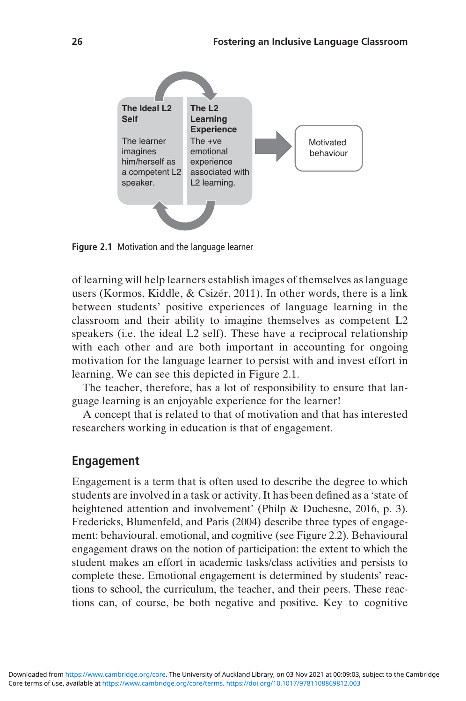

Figure 2.1 Motivation and the language learner

of learning will help learners establish images of themselves as language users (Kormos, Kiddle, & Csizér, 2011). In other words, there is a link between students' positive experiences of language learning in the classroom and their ability to imagine themselves as competent L2 speakers (i.e. the ideal L2 self). These have a reciprocal relationship with each other and are both important in accounting for ongoing motivation for the language learner to persist with and invest effort in learning. We can see this depicted in Figure 2.1.

The teacher, therefore, has a lot of responsibility to ensure that language learning is an enjoyable experience for the learner!

A concept that is related to that of motivation and that has interested researchers working in education is that of engagement.

#### Engagement

Engagement is a term that is often used to describe the degree to which students are involved in a task or activity. It has been defined as a 'state of heightened attention and involvement' (Philp & Duchesne, 2016, p. 3). Fredericks, Blumenfeld, and Paris (2004) describe three types of engagement: behavioural, emotional, and cognitive (see Figure 2.2). Behavioural engagement draws on the notion of participation: the extent to which the student makes an effort in academic tasks/class activities and persists to complete these. Emotional engagement is determined by students' reactions to school, the curriculum, the teacher, and their peers. These reactions can, of course, be both negative and positive. Key to cognitive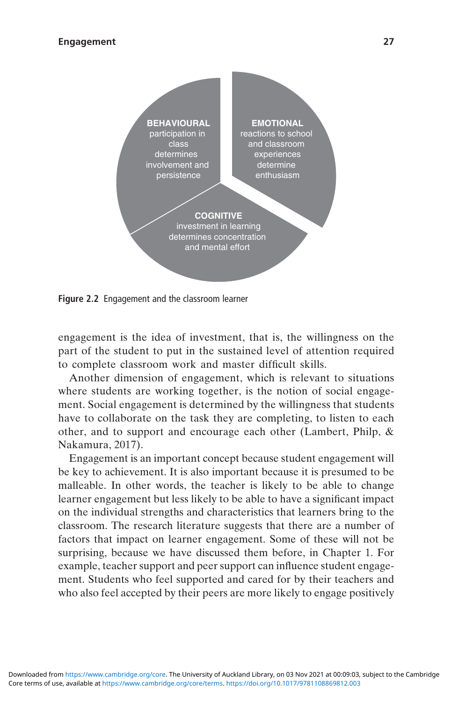

Figure 2.2 Engagement and the classroom learner

engagement is the idea of investment, that is, the willingness on the part of the student to put in the sustained level of attention required to complete classroom work and master difficult skills.

Another dimension of engagement, which is relevant to situations where students are working together, is the notion of social engagement. Social engagement is determined by the willingness that students have to collaborate on the task they are completing, to listen to each other, and to support and encourage each other (Lambert, Philp, & Nakamura, 2017).

Engagement is an important concept because student engagement will be key to achievement. It is also important because it is presumed to be malleable. In other words, the teacher is likely to be able to change learner engagement but less likely to be able to have a significant impact on the individual strengths and characteristics that learners bring to the classroom. The research literature suggests that there are a number of factors that impact on learner engagement. Some of these will not be surprising, because we have discussed them before, in Chapter 1. For example, teacher support and peer support can influence student engagement. Students who feel supported and cared for by their teachers and who also feel accepted by their peers are more likely to engage positively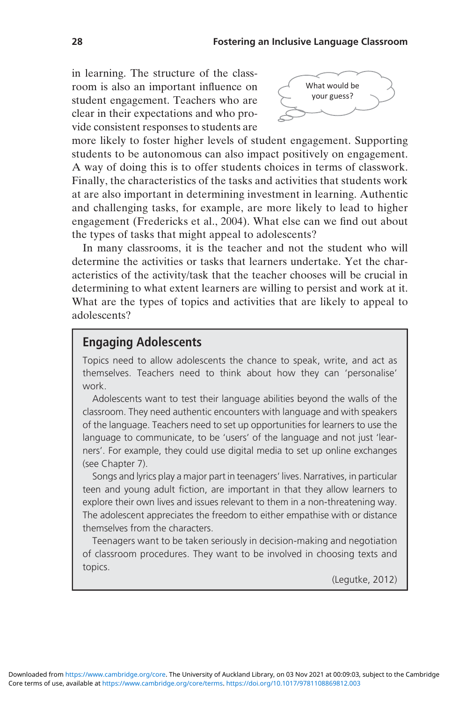in learning. The structure of the classroom is also an important influence on student engagement. Teachers who are clear in their expectations and who provide consistent responses to students are



more likely to foster higher levels of student engagement. Supporting students to be autonomous can also impact positively on engagement. A way of doing this is to offer students choices in terms of classwork. Finally, the characteristics of the tasks and activities that students work at are also important in determining investment in learning. Authentic and challenging tasks, for example, are more likely to lead to higher engagement (Fredericks et al., 2004). What else can we find out about the types of tasks that might appeal to adolescents?

In many classrooms, it is the teacher and not the student who will determine the activities or tasks that learners undertake. Yet the characteristics of the activity/task that the teacher chooses will be crucial in determining to what extent learners are willing to persist and work at it. What are the types of topics and activities that are likely to appeal to adolescents?

### Engaging Adolescents

Topics need to allow adolescents the chance to speak, write, and act as themselves. Teachers need to think about how they can 'personalise' work.

Adolescents want to test their language abilities beyond the walls of the classroom. They need authentic encounters with language and with speakers of the language. Teachers need to set up opportunities for learners to use the language to communicate, to be 'users' of the language and not just 'learners'. For example, they could use digital media to set up online exchanges (see Chapter 7).

Songs and lyrics play a major part in teenagers' lives. Narratives, in particular teen and young adult fiction, are important in that they allow learners to explore their own lives and issues relevant to them in a non-threatening way. The adolescent appreciates the freedom to either empathise with or distance themselves from the characters.

Teenagers want to be taken seriously in decision-making and negotiation of classroom procedures. They want to be involved in choosing texts and topics.

(Legutke, 2012)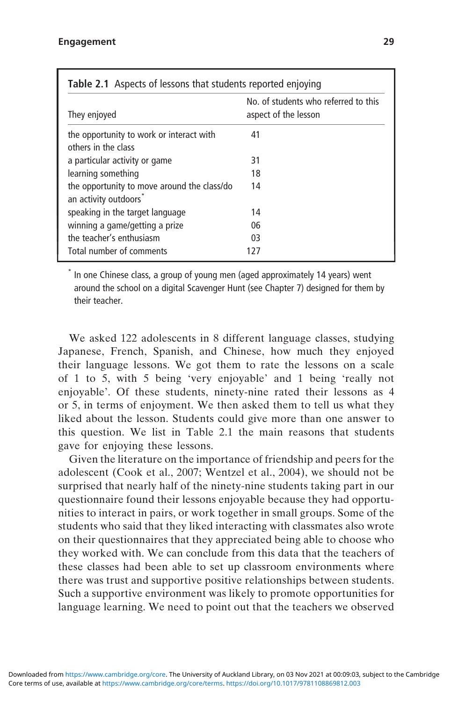| <b>Table 2.1</b> Aspects of lessons that students reported enjoying |                                                              |  |
|---------------------------------------------------------------------|--------------------------------------------------------------|--|
| They enjoyed                                                        | No. of students who referred to this<br>aspect of the lesson |  |
| the opportunity to work or interact with<br>others in the class     | 41                                                           |  |
| a particular activity or game                                       | 31                                                           |  |
| learning something                                                  | 18                                                           |  |
| the opportunity to move around the class/do<br>an activity outdoors | 14                                                           |  |
| speaking in the target language                                     | 14                                                           |  |
| winning a game/getting a prize                                      | 06                                                           |  |
| the teacher's enthusiasm                                            | 03                                                           |  |
| Total number of comments                                            | 127                                                          |  |

In one Chinese class, a group of young men (aged approximately 14 years) went around the school on a digital Scavenger Hunt (see Chapter 7) designed for them by their teacher.

We asked 122 adolescents in 8 different language classes, studying Japanese, French, Spanish, and Chinese, how much they enjoyed their language lessons. We got them to rate the lessons on a scale of 1 to 5, with 5 being 'very enjoyable' and 1 being 'really not enjoyable'. Of these students, ninety-nine rated their lessons as 4 or 5, in terms of enjoyment. We then asked them to tell us what they liked about the lesson. Students could give more than one answer to this question. We list in Table 2.1 the main reasons that students gave for enjoying these lessons.

Given the literature on the importance of friendship and peers for the adolescent (Cook et al., 2007; Wentzel et al., 2004), we should not be surprised that nearly half of the ninety-nine students taking part in our questionnaire found their lessons enjoyable because they had opportunities to interact in pairs, or work together in small groups. Some of the students who said that they liked interacting with classmates also wrote on their questionnaires that they appreciated being able to choose who they worked with. We can conclude from this data that the teachers of these classes had been able to set up classroom environments where there was trust and supportive positive relationships between students. Such a supportive environment was likely to promote opportunities for language learning. We need to point out that the teachers we observed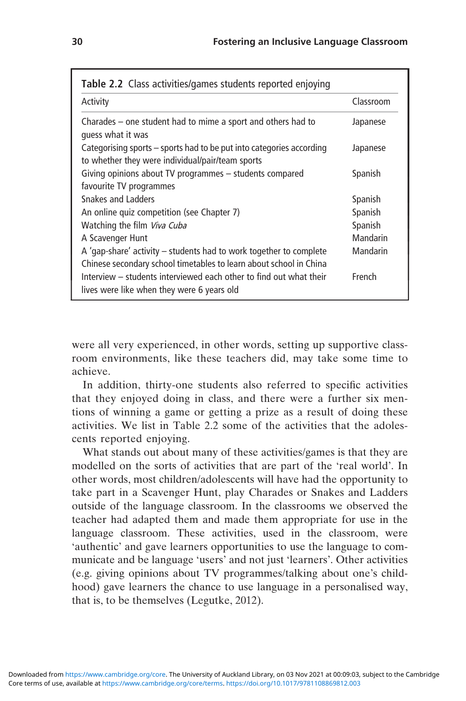| Table 2.2 Class activities/games students reported enjoying                                                                                |           |  |  |
|--------------------------------------------------------------------------------------------------------------------------------------------|-----------|--|--|
| Activity                                                                                                                                   | Classroom |  |  |
| Charades – one student had to mime a sport and others had to<br>quess what it was                                                          | Japanese  |  |  |
| Categorising sports – sports had to be put into categories according<br>to whether they were individual/pair/team sports                   | Japanese  |  |  |
| Giving opinions about TV programmes - students compared<br>favourite TV programmes                                                         | Spanish   |  |  |
| Snakes and Ladders                                                                                                                         | Spanish   |  |  |
| An online quiz competition (see Chapter 7)                                                                                                 | Spanish   |  |  |
| Watching the film <i>Viva Cuba</i>                                                                                                         | Spanish   |  |  |
| A Scavenger Hunt                                                                                                                           | Mandarin  |  |  |
| A 'gap-share' activity $-$ students had to work together to complete<br>Chinese secondary school timetables to learn about school in China | Mandarin  |  |  |
| Interview – students interviewed each other to find out what their<br>lives were like when they were 6 years old                           | French    |  |  |

were all very experienced, in other words, setting up supportive classroom environments, like these teachers did, may take some time to achieve.

In addition, thirty-one students also referred to specific activities that they enjoyed doing in class, and there were a further six mentions of winning a game or getting a prize as a result of doing these activities. We list in Table 2.2 some of the activities that the adolescents reported enjoying.

What stands out about many of these activities/games is that they are modelled on the sorts of activities that are part of the 'real world'. In other words, most children/adolescents will have had the opportunity to take part in a Scavenger Hunt, play Charades or Snakes and Ladders outside of the language classroom. In the classrooms we observed the teacher had adapted them and made them appropriate for use in the language classroom. These activities, used in the classroom, were 'authentic' and gave learners opportunities to use the language to communicate and be language 'users' and not just 'learners'. Other activities (e.g. giving opinions about TV programmes/talking about one's childhood) gave learners the chance to use language in a personalised way, that is, to be themselves (Legutke, 2012).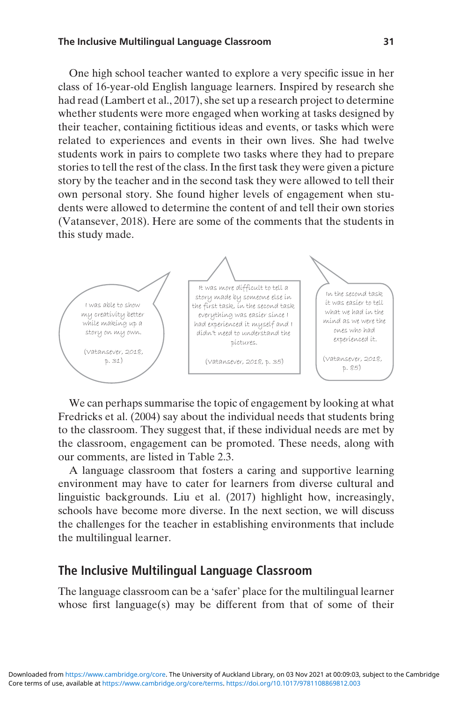#### The Inclusive Multilingual Language Classroom 31

One high school teacher wanted to explore a very specific issue in her class of 16-year-old English language learners. Inspired by research she had read (Lambert et al., 2017), she set up a research project to determine whether students were more engaged when working at tasks designed by their teacher, containing fictitious ideas and events, or tasks which were related to experiences and events in their own lives. She had twelve students work in pairs to complete two tasks where they had to prepare stories to tell the rest of the class. In the first task they were given a picture story by the teacher and in the second task they were allowed to tell their own personal story. She found higher levels of engagement when students were allowed to determine the content of and tell their own stories (Vatansever, 2018). Here are some of the comments that the students in this study made.



We can perhaps summarise the topic of engagement by looking at what Fredricks et al. (2004) say about the individual needs that students bring to the classroom. They suggest that, if these individual needs are met by the classroom, engagement can be promoted. These needs, along with our comments, are listed in Table 2.3.

A language classroom that fosters a caring and supportive learning environment may have to cater for learners from diverse cultural and linguistic backgrounds. Liu et al. (2017) highlight how, increasingly, schools have become more diverse. In the next section, we will discuss the challenges for the teacher in establishing environments that include the multilingual learner.

#### The Inclusive Multilingual Language Classroom

The language classroom can be a 'safer' place for the multilingual learner whose first language(s) may be different from that of some of their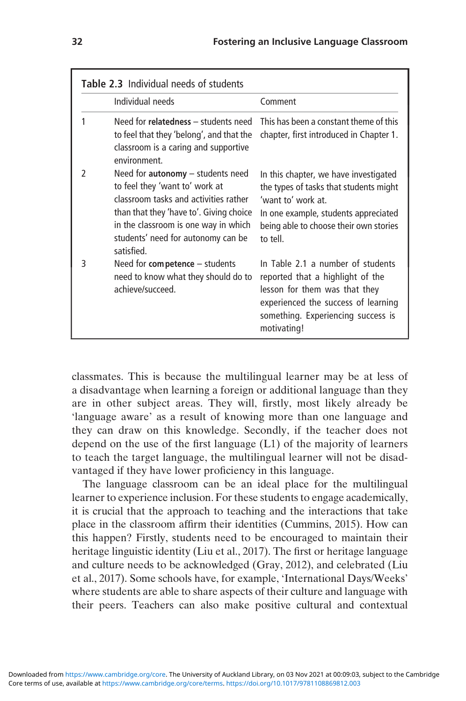|               | <b>Table 2.3</b> Individual needs of students                                                                                                                                                                                                         |                                                                                                                                                                                                     |  |
|---------------|-------------------------------------------------------------------------------------------------------------------------------------------------------------------------------------------------------------------------------------------------------|-----------------------------------------------------------------------------------------------------------------------------------------------------------------------------------------------------|--|
|               | Individual needs                                                                                                                                                                                                                                      | Comment                                                                                                                                                                                             |  |
| 1             | Need for relatedness - students need<br>to feel that they 'belong', and that the<br>classroom is a caring and supportive<br>environment                                                                                                               | This has been a constant theme of this<br>chapter, first introduced in Chapter 1.                                                                                                                   |  |
| $\mathfrak z$ | Need for $autonomy - students need$<br>to feel they 'want to' work at<br>classroom tasks and activities rather<br>than that they 'have to'. Giving choice<br>in the classroom is one way in which<br>students' need for autonomy can be<br>satisfied. | In this chapter, we have investigated<br>the types of tasks that students might<br>'want to' work at.<br>In one example, students appreciated<br>being able to choose their own stories<br>to tell. |  |
| 3             | Need for competence - students<br>need to know what they should do to<br>achieve/succeed.                                                                                                                                                             | In Table 2.1 a number of students<br>reported that a highlight of the<br>lesson for them was that they<br>experienced the success of learning<br>something. Experiencing success is<br>motivating!  |  |

classmates. This is because the multilingual learner may be at less of a disadvantage when learning a foreign or additional language than they are in other subject areas. They will, firstly, most likely already be 'language aware' as a result of knowing more than one language and they can draw on this knowledge. Secondly, if the teacher does not depend on the use of the first language (L1) of the majority of learners to teach the target language, the multilingual learner will not be disadvantaged if they have lower proficiency in this language.

The language classroom can be an ideal place for the multilingual learner to experience inclusion. For these students to engage academically, it is crucial that the approach to teaching and the interactions that take place in the classroom affirm their identities (Cummins, 2015). How can this happen? Firstly, students need to be encouraged to maintain their heritage linguistic identity (Liu et al., 2017). The first or heritage language and culture needs to be acknowledged (Gray, 2012), and celebrated (Liu et al., 2017). Some schools have, for example, 'International Days/Weeks' where students are able to share aspects of their culture and language with their peers. Teachers can also make positive cultural and contextual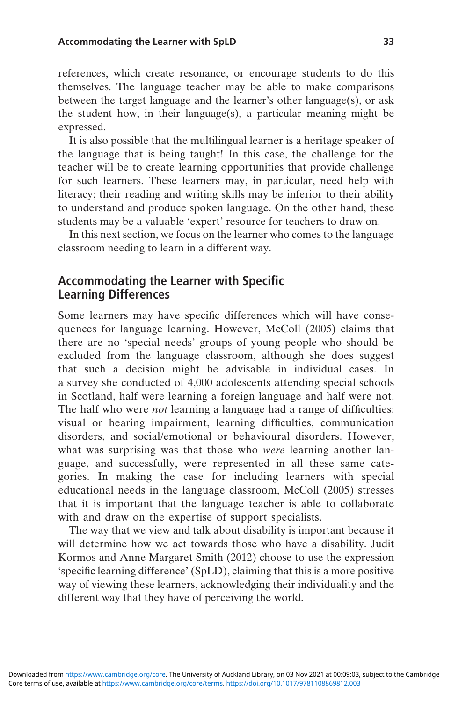references, which create resonance, or encourage students to do this themselves. The language teacher may be able to make comparisons between the target language and the learner's other language(s), or ask the student how, in their language(s), a particular meaning might be expressed.

It is also possible that the multilingual learner is a heritage speaker of the language that is being taught! In this case, the challenge for the teacher will be to create learning opportunities that provide challenge for such learners. These learners may, in particular, need help with literacy; their reading and writing skills may be inferior to their ability to understand and produce spoken language. On the other hand, these students may be a valuable 'expert' resource for teachers to draw on.

In this next section, we focus on the learner who comes to the language classroom needing to learn in a different way.

### Accommodating the Learner with Specific Learning Differences

Some learners may have specific differences which will have consequences for language learning. However, McColl (2005) claims that there are no 'special needs' groups of young people who should be excluded from the language classroom, although she does suggest that such a decision might be advisable in individual cases. In a survey she conducted of 4,000 adolescents attending special schools in Scotland, half were learning a foreign language and half were not. The half who were *not* learning a language had a range of difficulties: visual or hearing impairment, learning difficulties, communication disorders, and social/emotional or behavioural disorders. However, what was surprising was that those who *were* learning another language, and successfully, were represented in all these same categories. In making the case for including learners with special educational needs in the language classroom, McColl (2005) stresses that it is important that the language teacher is able to collaborate with and draw on the expertise of support specialists.

The way that we view and talk about disability is important because it will determine how we act towards those who have a disability. Judit Kormos and Anne Margaret Smith (2012) choose to use the expression 'specific learning difference' (SpLD), claiming that this is a more positive way of viewing these learners, acknowledging their individuality and the different way that they have of perceiving the world.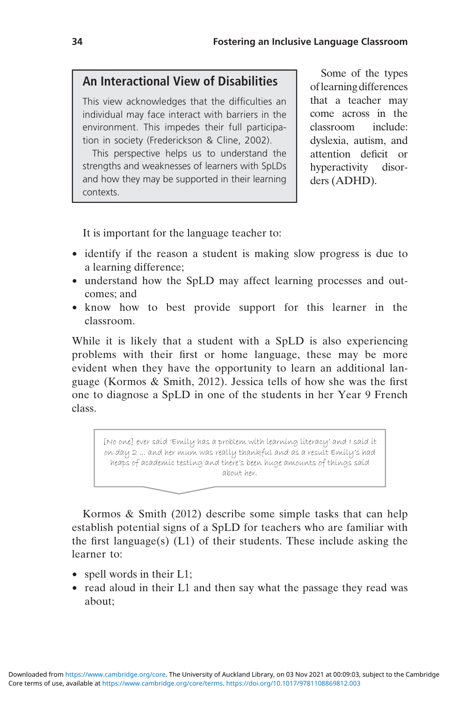## An Interactional View of Disabilities

This view acknowledges that the difficulties an individual may face interact with barriers in the environment. This impedes their full participation in society (Frederickson & Cline, 2002).

This perspective helps us to understand the strengths and weaknesses of learners with SpLDs and how they may be supported in their learning contexts.

Some of the types oflearning differences that a teacher may come across in the classroom include: dyslexia, autism, and attention deficit or hyperactivity disorders (ADHD).

It is important for the language teacher to:

- identify if the reason a student is making slow progress is due to a learning difference;
- understand how the SpLD may affect learning processes and outcomes; and
- know how to best provide support for this learner in the classroom.

While it is likely that a student with a SpLD is also experiencing problems with their first or home language, these may be more evident when they have the opportunity to learn an additional language (Kormos & Smith, 2012). Jessica tells of how she was the first one to diagnose a SpLD in one of the students in her Year 9 French class.

[No one] ever said 'Emily has a problem with learning literacy' and I said it on day 2 ... and her mum was really thankful and as a result Emily's had heaps of academic testing and there's been huge amounts of things said about her.

Kormos & Smith (2012) describe some simple tasks that can help establish potential signs of a SpLD for teachers who are familiar with the first language(s) (L1) of their students. These include asking the learner to:

- spell words in their L1;
- read aloud in their L1 and then say what the passage they read was about;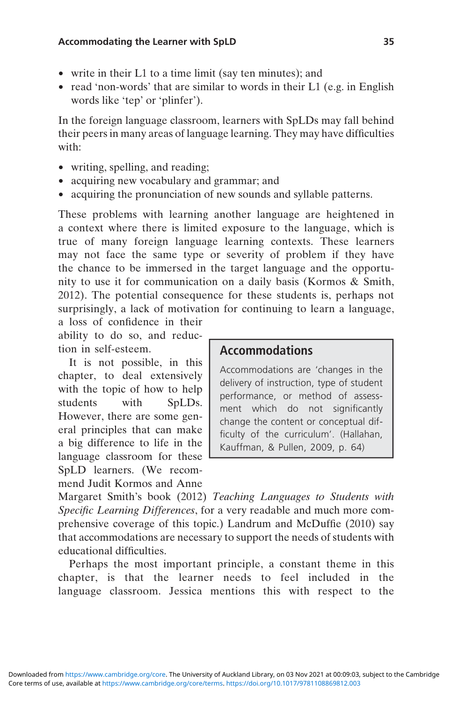- write in their L1 to a time limit (say ten minutes); and
- read 'non-words' that are similar to words in their L1 (e.g. in English words like 'tep' or 'plinfer').

In the foreign language classroom, learners with SpLDs may fall behind their peers in many areas of language learning. They may have difficulties with:

- writing, spelling, and reading;
- acquiring new vocabulary and grammar; and
- acquiring the pronunciation of new sounds and syllable patterns.

These problems with learning another language are heightened in a context where there is limited exposure to the language, which is true of many foreign language learning contexts. These learners may not face the same type or severity of problem if they have the chance to be immersed in the target language and the opportunity to use it for communication on a daily basis (Kormos & Smith, 2012). The potential consequence for these students is, perhaps not surprisingly, a lack of motivation for continuing to learn a language,

a loss of confidence in their ability to do so, and reduction in self-esteem.

It is not possible, in this chapter, to deal extensively with the topic of how to help students with SpLDs. However, there are some general principles that can make a big difference to life in the language classroom for these SpLD learners. (We recommend Judit Kormos and Anne

### Accommodations

Accommodations are 'changes in the delivery of instruction, type of student performance, or method of assessment which do not significantly change the content or conceptual difficulty of the curriculum'. (Hallahan, Kauffman, & Pullen, 2009, p. 64)

Margaret Smith's book (2012) Teaching Languages to Students with Specific Learning Differences, for a very readable and much more comprehensive coverage of this topic.) Landrum and McDuffie (2010) say that accommodations are necessary to support the needs of students with educational difficulties.

Perhaps the most important principle, a constant theme in this chapter, is that the learner needs to feel included in the language classroom. Jessica mentions this with respect to the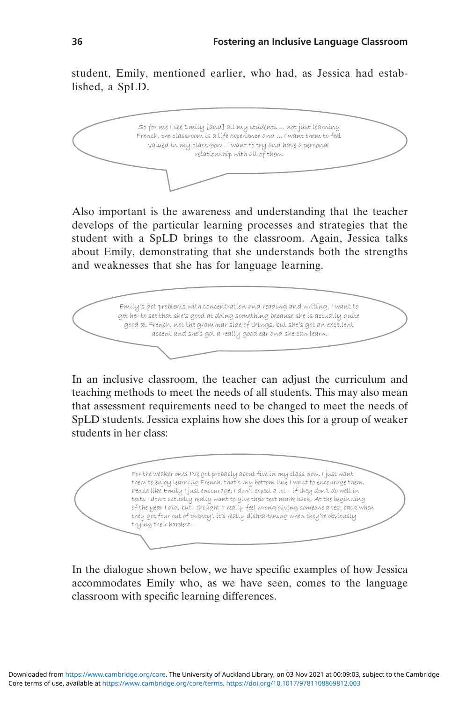student, Emily, mentioned earlier, who had, as Jessica had established, a SpLD.



Also important is the awareness and understanding that the teacher develops of the particular learning processes and strategies that the student with a SpLD brings to the classroom. Again, Jessica talks about Emily, demonstrating that she understands both the strengths and weaknesses that she has for language learning.



In an inclusive classroom, the teacher can adjust the curriculum and teaching methods to meet the needs of all students. This may also mean that assessment requirements need to be changed to meet the needs of SpLD students. Jessica explains how she does this for a group of weaker students in her class:

For the weaker ones I've got probably about five in my class now. I just want them to enjoy learning French, that's my bottom line I want to encourage them, People like Emily I just encourage, I don't expect a lot – if they don't do well in tests I don't actually really want to give their test mark back. At the beginning of the year I did, but I thought 'I really feel wrong giving someone a test back when they got four out of twenty', it's really disheartening when they're obviously trying their hardest.

In the dialogue shown below, we have specific examples of how Jessica accommodates Emily who, as we have seen, comes to the language classroom with specific learning differences.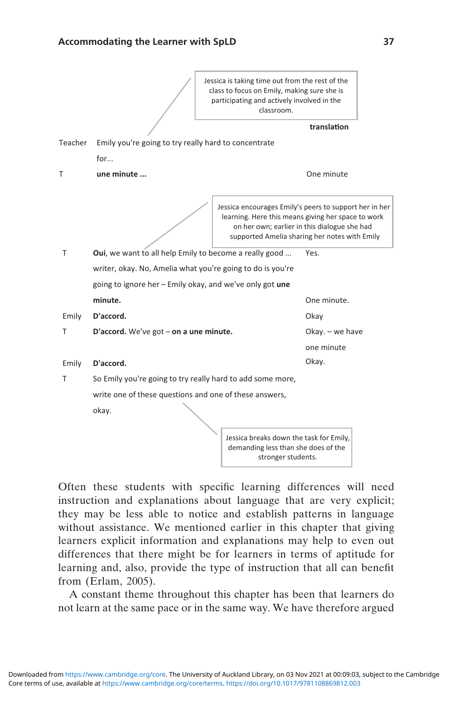

Often these students with specific learning differences will need instruction and explanations about language that are very explicit; they may be less able to notice and establish patterns in language without assistance. We mentioned earlier in this chapter that giving learners explicit information and explanations may help to even out differences that there might be for learners in terms of aptitude for learning and, also, provide the type of instruction that all can benefit from (Erlam, 2005).

A constant theme throughout this chapter has been that learners do not learn at the same pace or in the same way. We have therefore argued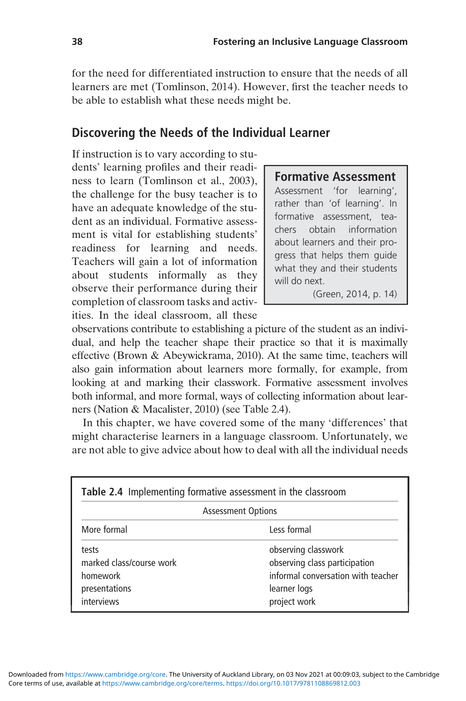for the need for differentiated instruction to ensure that the needs of all learners are met (Tomlinson, 2014). However, first the teacher needs to be able to establish what these needs might be.

### Discovering the Needs of the Individual Learner

If instruction is to vary according to students' learning profiles and their readiness to learn (Tomlinson et al., 2003), the challenge for the busy teacher is to have an adequate knowledge of the student as an individual. Formative assessment is vital for establishing students' readiness for learning and needs. Teachers will gain a lot of information about students informally as they observe their performance during their completion of classroom tasks and activities. In the ideal classroom, all these

#### Formative Assessment

Assessment 'for learning', rather than 'of learning'. In formative assessment, teachers obtain information about learners and their progress that helps them guide what they and their students will do next.

(Green, 2014, p. 14)

observations contribute to establishing a picture of the student as an individual, and help the teacher shape their practice so that it is maximally effective (Brown & Abeywickrama, 2010). At the same time, teachers will also gain information about learners more formally, for example, from looking at and marking their classwork. Formative assessment involves both informal, and more formal, ways of collecting information about learners (Nation & Macalister, 2010) (see Table 2.4).

In this chapter, we have covered some of the many 'differences' that might characterise learners in a language classroom. Unfortunately, we are not able to give advice about how to deal with all the individual needs

| Table 2.4 Implementing formative assessment in the classroom                 |                                                                                                                            |  |  |
|------------------------------------------------------------------------------|----------------------------------------------------------------------------------------------------------------------------|--|--|
| <b>Assessment Options</b>                                                    |                                                                                                                            |  |  |
| More formal                                                                  | Less formal                                                                                                                |  |  |
| tests<br>marked class/course work<br>homework<br>presentations<br>interviews | observing classwork<br>observing class participation<br>informal conversation with teacher<br>learner logs<br>project work |  |  |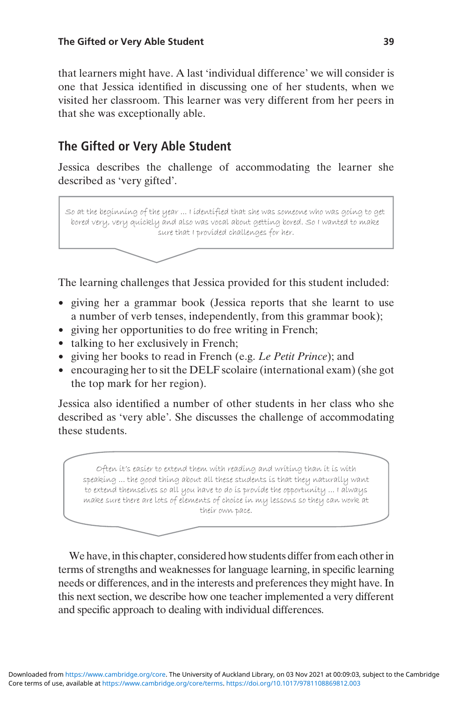that learners might have. A last 'individual difference' we will consider is one that Jessica identified in discussing one of her students, when we visited her classroom. This learner was very different from her peers in that she was exceptionally able.

## The Gifted or Very Able Student

Jessica describes the challenge of accommodating the learner she described as 'very gifted'.

So at the beginning of the year ... I identified that she was someone who was going to get bored very, very quickly and also was vocal about getting bored. So I wanted to make sure that I provided challenges for her.

The learning challenges that Jessica provided for this student included:

- giving her a grammar book (Jessica reports that she learnt to use a number of verb tenses, independently, from this grammar book);
- giving her opportunities to do free writing in French;
- talking to her exclusively in French;
- giving her books to read in French (e.g. Le Petit Prince); and
- encouraging her to sit the DELF scolaire (international exam) (she got the top mark for her region).

Jessica also identified a number of other students in her class who she described as 'very able'. She discusses the challenge of accommodating these students.

Often it's easier to extend them with reading and writing than it is with speaking ... the good thing about all these students is that they naturally want to extend themselves so all you have to do is provide the opportunity ... I always make sure there are lots of elements of choice in my lessons so they can work at their own pace.

We have, in this chapter, considered how students differ from each other in terms of strengths and weaknesses for language learning, in specific learning needs or differences, and in the interests and preferences they might have. In this next section, we describe how one teacher implemented a very different and specific approach to dealing with individual differences.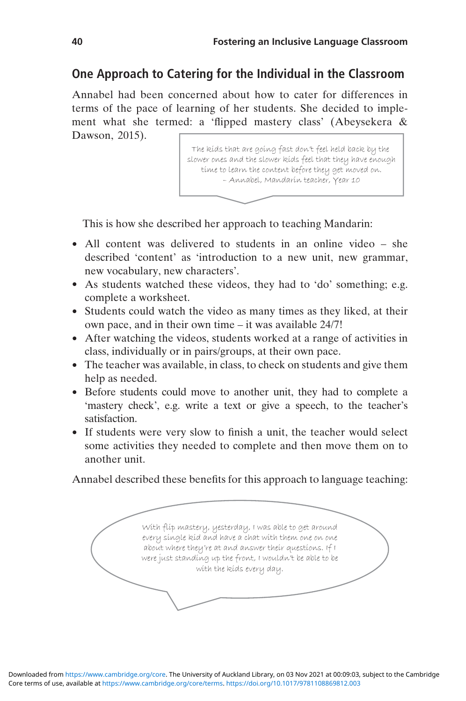## One Approach to Catering for the Individual in the Classroom

Annabel had been concerned about how to cater for differences in terms of the pace of learning of her students. She decided to implement what she termed: a 'flipped mastery class' (Abeysekera & Dawson, 2015).

> The kids that are going fast don't feel held back by the slower ones and the slower kids feel that they have enough time to learn the content before they get moved on. – Annabel, Mandarin teacher, Year 10

This is how she described her approach to teaching Mandarin:

- All content was delivered to students in an online video she described 'content' as 'introduction to a new unit, new grammar, new vocabulary, new characters'.
- As students watched these videos, they had to 'do' something; e.g. complete a worksheet.
- Students could watch the video as many times as they liked, at their own pace, and in their own time – it was available 24/7!
- After watching the videos, students worked at a range of activities in class, individually or in pairs/groups, at their own pace.
- The teacher was available, in class, to check on students and give them help as needed.
- Before students could move to another unit, they had to complete a 'mastery check', e.g. write a text or give a speech, to the teacher's satisfaction.
- If students were very slow to finish a unit, the teacher would select some activities they needed to complete and then move them on to another unit.

Annabel described these benefits for this approach to language teaching:

With flip mastery, yesterday, I was able to get around every single kid and have a chat with them one on one about where they're at and answer their questions. If I were just standing up the front, I wouldn't be able to be with the kids every day.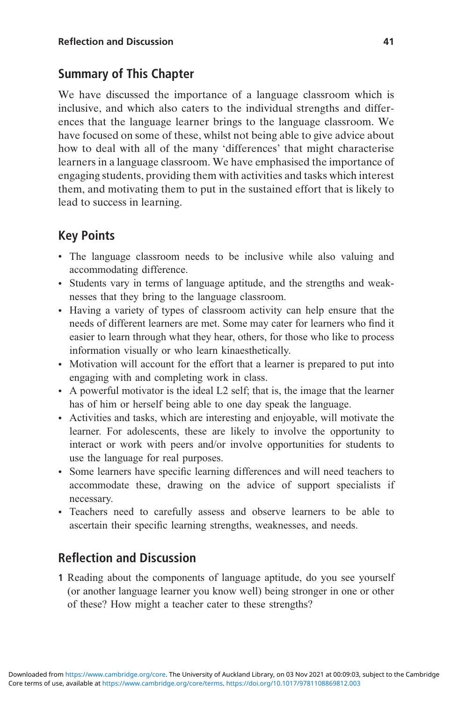## Summary of This Chapter

We have discussed the importance of a language classroom which is inclusive, and which also caters to the individual strengths and differences that the language learner brings to the language classroom. We have focused on some of these, whilst not being able to give advice about how to deal with all of the many 'differences' that might characterise learners in a language classroom. We have emphasised the importance of engaging students, providing them with activities and tasks which interest them, and motivating them to put in the sustained effort that is likely to lead to success in learning.

# Key Points

- The language classroom needs to be inclusive while also valuing and accommodating difference.
- Students vary in terms of language aptitude, and the strengths and weaknesses that they bring to the language classroom.
- Having a variety of types of classroom activity can help ensure that the needs of different learners are met. Some may cater for learners who find it easier to learn through what they hear, others, for those who like to process information visually or who learn kinaesthetically.
- Motivation will account for the effort that a learner is prepared to put into engaging with and completing work in class.
- A powerful motivator is the ideal L2 self; that is, the image that the learner has of him or herself being able to one day speak the language.
- Activities and tasks, which are interesting and enjoyable, will motivate the learner. For adolescents, these are likely to involve the opportunity to interact or work with peers and/or involve opportunities for students to use the language for real purposes.
- Some learners have specific learning differences and will need teachers to accommodate these, drawing on the advice of support specialists if necessary.
- Teachers need to carefully assess and observe learners to be able to ascertain their specific learning strengths, weaknesses, and needs.

## Reflection and Discussion

1 Reading about the components of language aptitude, do you see yourself (or another language learner you know well) being stronger in one or other of these? How might a teacher cater to these strengths?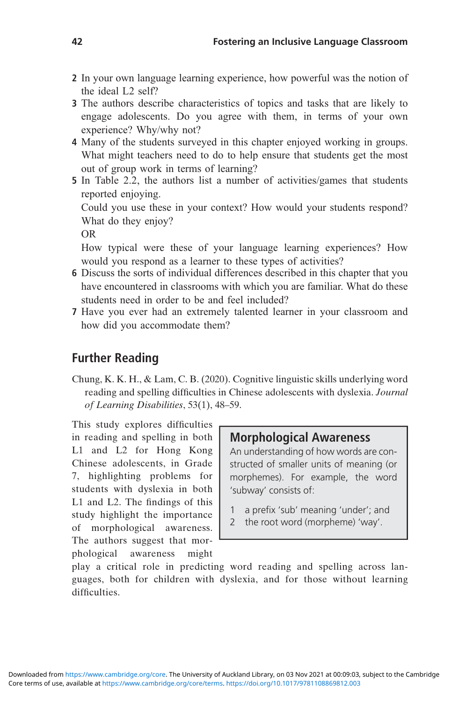- 2 In your own language learning experience, how powerful was the notion of the ideal L2 self?
- 3 The authors describe characteristics of topics and tasks that are likely to engage adolescents. Do you agree with them, in terms of your own experience? Why/why not?
- 4 Many of the students surveyed in this chapter enjoyed working in groups. What might teachers need to do to help ensure that students get the most out of group work in terms of learning?
- 5 In Table 2.2, the authors list a number of activities/games that students reported enjoying.

Could you use these in your context? How would your students respond? What do they enjoy?

OR

How typical were these of your language learning experiences? How would you respond as a learner to these types of activities?

- 6 Discuss the sorts of individual differences described in this chapter that you have encountered in classrooms with which you are familiar. What do these students need in order to be and feel included?
- 7 Have you ever had an extremely talented learner in your classroom and how did you accommodate them?

### Further Reading

Chung, K. K. H., & Lam, C. B. (2020). Cognitive linguistic skills underlying word reading and spelling difficulties in Chinese adolescents with dyslexia. Journal of Learning Disabilities, 53(1), 48–59.

This study explores difficulties in reading and spelling in both L1 and L2 for Hong Kong Chinese adolescents, in Grade 7, highlighting problems for students with dyslexia in both L1 and L2. The findings of this study highlight the importance of morphological awareness. The authors suggest that morphological awareness might

### Morphological Awareness

An understanding of how words are constructed of smaller units of meaning (or morphemes). For example, the word 'subway' consists of:

- 1 a prefix 'sub' meaning 'under'; and
- 2 the root word (morpheme) 'way'.

play a critical role in predicting word reading and spelling across languages, both for children with dyslexia, and for those without learning difficulties.